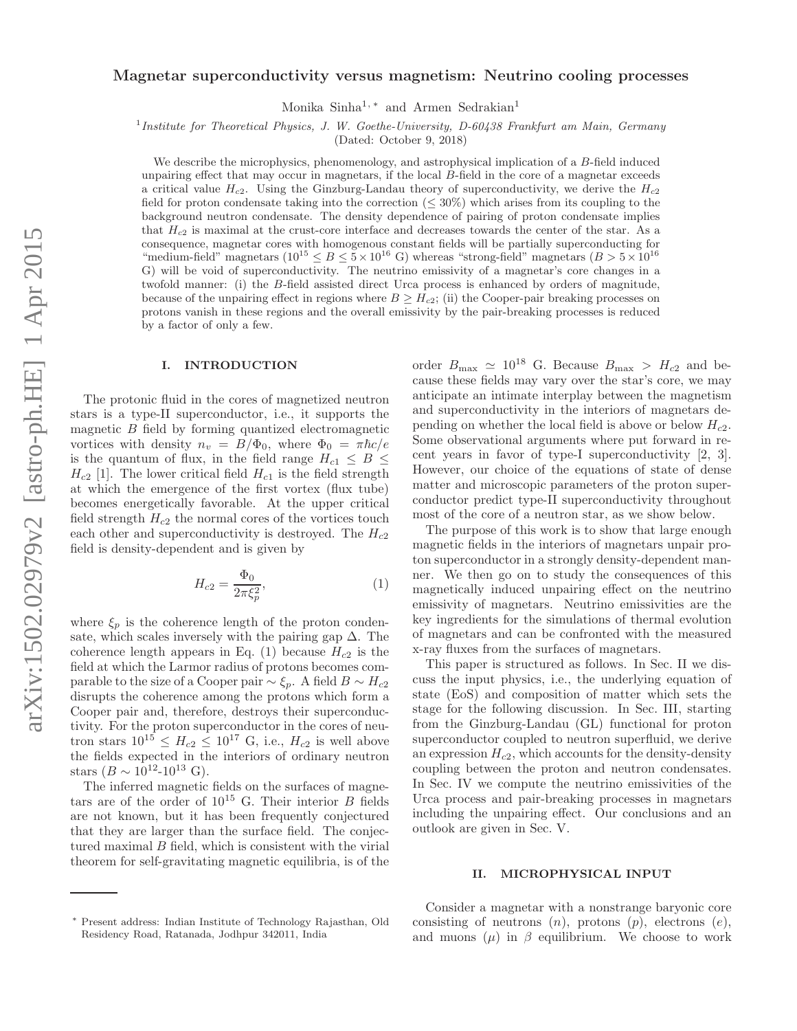# Magnetar superconductivity versus magnetism: Neutrino cooling processes

Monika Sinha<sup>1,\*</sup> and Armen Sedrakian<sup>1</sup>

1 *Institute for Theoretical Physics, J. W. Goethe-University, D-60438 Frankfurt am Main, Germany*

(Dated: October 9, 2018)

We describe the microphysics, phenomenology, and astrophysical implication of a B-field induced unpairing effect that may occur in magnetars, if the local B-field in the core of a magnetar exceeds a critical value  $H_{c2}$ . Using the Ginzburg-Landau theory of superconductivity, we derive the  $H_{c2}$ field for proton condensate taking into the correction ( $\leq 30\%$ ) which arises from its coupling to the background neutron condensate. The density dependence of pairing of proton condensate implies that  $H_{c2}$  is maximal at the crust-core interface and decreases towards the center of the star. As a consequence, magnetar cores with homogenous constant fields will be partially superconducting for "medium-field" magnetars  $(10^{15} \le B \le 5 \times 10^{16} \text{ G})$  whereas "strong-field" magnetars  $(B > 5 \times 10^{16} \text{ G})$ G) will be void of superconductivity. The neutrino emissivity of a magnetar's core changes in a twofold manner: (i) the B-field assisted direct Urca process is enhanced by orders of magnitude, because of the unpairing effect in regions where  $B \geq H_{c2}$ ; (ii) the Cooper-pair breaking processes on protons vanish in these regions and the overall emissivity by the pair-breaking processes is reduced by a factor of only a few.

### I. INTRODUCTION

The protonic fluid in the cores of magnetized neutron stars is a type-II superconductor, i.e., it supports the magnetic  $B$  field by forming quantized electromagnetic vortices with density  $n_v = B/\Phi_0$ , where  $\Phi_0 = \pi \hbar c/e$ is the quantum of flux, in the field range  $H_{c1} \leq B \leq$  $H_{c2}$  [1]. The lower critical field  $H_{c1}$  is the field strength at which the emergence of the first vortex (flux tube) becomes energetically favorable. At the upper critical field strength  $H_{c2}$  the normal cores of the vortices touch each other and superconductivity is destroyed. The  $H_{c2}$ field is density-dependent and is given by

$$
H_{c2} = \frac{\Phi_0}{2\pi \xi_p^2},\tag{1}
$$

where  $\xi_p$  is the coherence length of the proton condensate, which scales inversely with the pairing gap  $\Delta$ . The coherence length appears in Eq. (1) because  $H_{c2}$  is the field at which the Larmor radius of protons becomes comparable to the size of a Cooper pair  $\sim \xi_p$ . A field  $B \sim H_{c2}$ disrupts the coherence among the protons which form a Cooper pair and, therefore, destroys their superconductivity. For the proton superconductor in the cores of neutron stars  $10^{15} \leq H_{c2} \leq 10^{17}$  G, i.e.,  $H_{c2}$  is well above the fields expected in the interiors of ordinary neutron stars  $(B \sim 10^{12} - 10^{13} \text{ G}).$ 

The inferred magnetic fields on the surfaces of magnetars are of the order of  $10^{15}$  G. Their interior B fields are not known, but it has been frequently conjectured that they are larger than the surface field. The conjectured maximal B field, which is consistent with the virial theorem for self-gravitating magnetic equilibria, is of the order  $B_{\text{max}} \simeq 10^{18}$  G. Because  $B_{\text{max}} > H_{c2}$  and because these fields may vary over the star's core, we may anticipate an intimate interplay between the magnetism and superconductivity in the interiors of magnetars depending on whether the local field is above or below  $H_{c2}$ . Some observational arguments where put forward in recent years in favor of type-I superconductivity [2, 3]. However, our choice of the equations of state of dense matter and microscopic parameters of the proton superconductor predict type-II superconductivity throughout most of the core of a neutron star, as we show below.

The purpose of this work is to show that large enough magnetic fields in the interiors of magnetars unpair proton superconductor in a strongly density-dependent manner. We then go on to study the consequences of this magnetically induced unpairing effect on the neutrino emissivity of magnetars. Neutrino emissivities are the key ingredients for the simulations of thermal evolution of magnetars and can be confronted with the measured x-ray fluxes from the surfaces of magnetars.

This paper is structured as follows. In Sec. II we discuss the input physics, i.e., the underlying equation of state (EoS) and composition of matter which sets the stage for the following discussion. In Sec. III, starting from the Ginzburg-Landau (GL) functional for proton superconductor coupled to neutron superfluid, we derive an expression  $H_{c2}$ , which accounts for the density-density coupling between the proton and neutron condensates. In Sec. IV we compute the neutrino emissivities of the Urca process and pair-breaking processes in magnetars including the unpairing effect. Our conclusions and an outlook are given in Sec. V.

### II. MICROPHYSICAL INPUT

Consider a magnetar with a nonstrange baryonic core consisting of neutrons  $(n)$ , protons  $(p)$ , electrons  $(e)$ , and muons  $(\mu)$  in  $\beta$  equilibrium. We choose to work

<sup>∗</sup> Present address: Indian Institute of Technology Rajasthan, Old Residency Road, Ratanada, Jodhpur 342011, India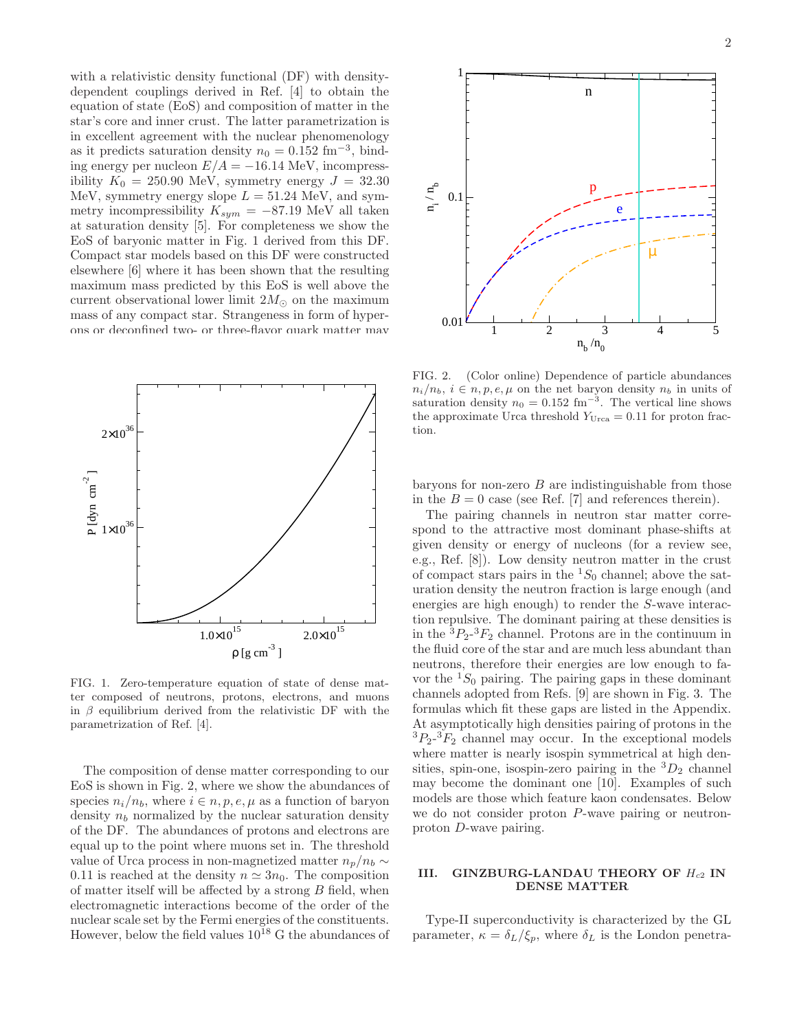with a relativistic density functional (DF) with densitydependent couplings derived in Ref. [4] to obtain the equation of state (EoS) and composition of matter in the star's core and inner crust. The latter parametrization is in excellent agreement with the nuclear phenomenology as it predicts saturation density  $n_0 = 0.152$  fm<sup>-3</sup>, binding energy per nucleon  $E/A = -16.14$  MeV, incompressibility  $K_0 = 250.90$  MeV, symmetry energy  $J = 32.30$ MeV, symmetry energy slope  $L = 51.24$  MeV, and symmetry incompressibility  $K_{sym} = -87.19$  MeV all taken at saturation density [5]. For completeness we show the EoS of baryonic matter in Fig. 1 derived from this DF. Compact star models based on this DF were constructed elsewhere [6] where it has been shown that the resulting maximum mass predicted by this EoS is well above the current observational lower limit  $2M_{\odot}$  on the maximum mass of any compact star. Strangeness in form of hyperons or deconfined two- or three-flavor quark matter may



FIG. 1. Zero-temperature equation of state of dense matter composed of neutrons, protons, electrons, and muons in  $\beta$  equilibrium derived from the relativistic DF with the parametrization of Ref. [4].

The composition of dense matter corresponding to our EoS is shown in Fig. 2, where we show the abundances of species  $n_i/n_b$ , where  $i \in n, p, e, \mu$  as a function of baryon density  $n_b$  normalized by the nuclear saturation density of the DF. The abundances of protons and electrons are equal up to the point where muons set in. The threshold value of Urca process in non-magnetized matter  $n_p/n_b \sim$ 0.11 is reached at the density  $n \approx 3n_0$ . The composition of matter itself will be affected by a strong B field, when electromagnetic interactions become of the order of the nuclear scale set by the Fermi energies of the constituents. However, below the field values  $10^{18}$  G the abundances of



FIG. 2. (Color online) Dependence of particle abundances  $n_i/n_b, i \in n, p, e, \mu$  on the net baryon density  $n_b$  in units of saturation density  $n_0 = 0.152$  fm<sup>-3</sup>. The vertical line shows the approximate Urca threshold  $Y_{Urca} = 0.11$  for proton fraction.

baryons for non-zero  $B$  are indistinguishable from those in the  $B = 0$  case (see Ref. [7] and references therein).

The pairing channels in neutron star matter correspond to the attractive most dominant phase-shifts at given density or energy of nucleons (for a review see, e.g., Ref. [8]). Low density neutron matter in the crust of compact stars pairs in the  ${}^{1}S_{0}$  channel; above the saturation density the neutron fraction is large enough (and energies are high enough) to render the S-wave interaction repulsive. The dominant pairing at these densities is in the  ${}^{3}P_{2}$ - ${}^{3}F_{2}$  channel. Protons are in the continuum in the fluid core of the star and are much less abundant than neutrons, therefore their energies are low enough to favor the  ${}^{1}S_{0}$  pairing. The pairing gaps in these dominant channels adopted from Refs. [9] are shown in Fig. 3. The formulas which fit these gaps are listed in the Appendix. At asymptotically high densities pairing of protons in the  ${}^{3}P_{2}$ - ${}^{3}F_{2}$  channel may occur. In the exceptional models where matter is nearly isospin symmetrical at high densities, spin-one, isospin-zero pairing in the  ${}^3D_2$  channel may become the dominant one [10]. Examples of such models are those which feature kaon condensates. Below we do not consider proton P-wave pairing or neutronproton D-wave pairing.

# III. GINZBURG-LANDAU THEORY OF  $H_{c2}$  IN DENSE MATTER

Type-II superconductivity is characterized by the GL parameter,  $\kappa = \delta_L/\xi_p$ , where  $\delta_L$  is the London penetra-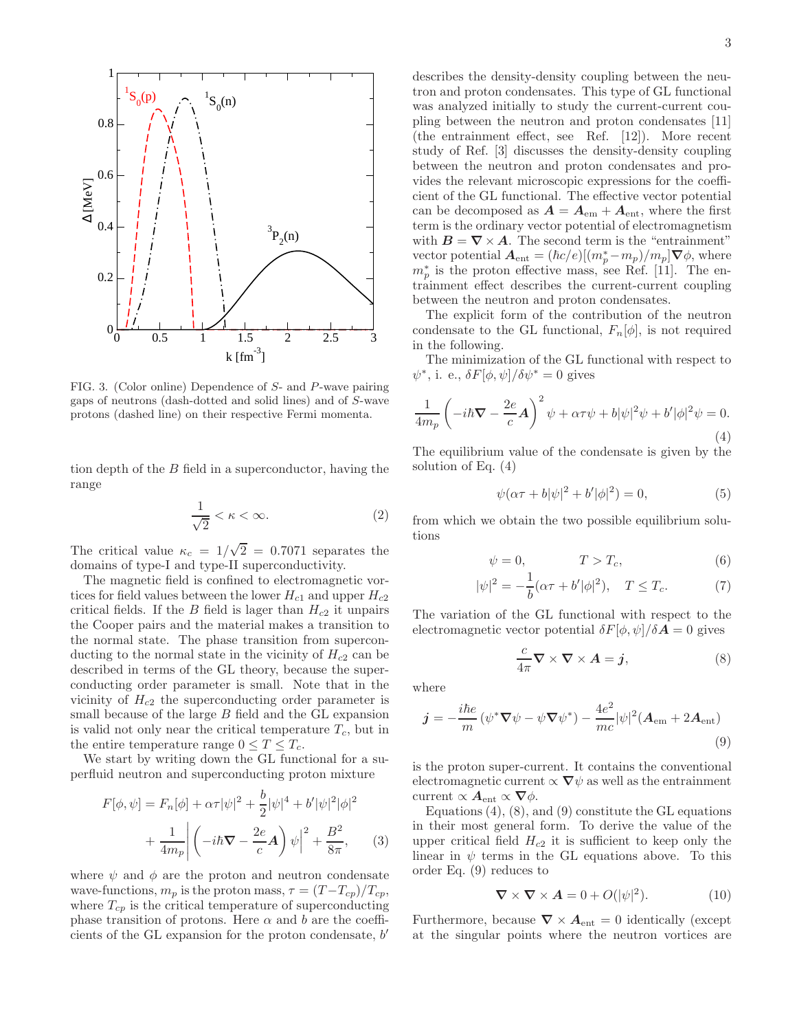

FIG. 3. (Color online) Dependence of S- and P-wave pairing gaps of neutrons (dash-dotted and solid lines) and of S-wave protons (dashed line) on their respective Fermi momenta.

tion depth of the B field in a superconductor, having the range

$$
\frac{1}{\sqrt{2}} < \kappa < \infty. \tag{2}
$$

The critical value  $\kappa_c = 1/\sqrt{2} = 0.7071$  separates the domains of type-I and type-II superconductivity.

The magnetic field is confined to electromagnetic vortices for field values between the lower  $H_{c1}$  and upper  $H_{c2}$ critical fields. If the B field is lager than  $H_{c2}$  it unpairs the Cooper pairs and the material makes a transition to the normal state. The phase transition from superconducting to the normal state in the vicinity of  $H_{c2}$  can be described in terms of the GL theory, because the superconducting order parameter is small. Note that in the vicinity of  $H_{c2}$  the superconducting order parameter is small because of the large  $B$  field and the GL expansion is valid not only near the critical temperature  $T_c$ , but in the entire temperature range  $0 \leq T \leq T_c$ .

We start by writing down the GL functional for a superfluid neutron and superconducting proton mixture

$$
F[\phi,\psi] = F_n[\phi] + \alpha \tau |\psi|^2 + \frac{b}{2} |\psi|^4 + b' |\psi|^2 |\phi|^2
$$

$$
+ \frac{1}{4m_p} \left| \left( -i\hbar \nabla - \frac{2e}{c} \mathbf{A} \right) \psi \right|^2 + \frac{B^2}{8\pi}, \qquad (3)
$$

where  $\psi$  and  $\phi$  are the proton and neutron condensate wave-functions,  $m_p$  is the proton mass,  $\tau = (T - T_{cp})/T_{cp}$ , where  $T_{cp}$  is the critical temperature of superconducting phase transition of protons. Here  $\alpha$  and b are the coefficients of the GL expansion for the proton condensate, b'

describes the density-density coupling between the neutron and proton condensates. This type of GL functional was analyzed initially to study the current-current coupling between the neutron and proton condensates [11] (the entrainment effect, see Ref. [12]). More recent study of Ref. [3] discusses the density-density coupling between the neutron and proton condensates and provides the relevant microscopic expressions for the coefficient of the GL functional. The effective vector potential can be decomposed as  $A = A_{em} + A_{ent}$ , where the first term is the ordinary vector potential of electromagnetism with  $B = \nabla \times A$ . The second term is the "entrainment" vector potential  $\mathbf{A}_{ent} = (\hbar c/e)[(m_p^* - m_p)/m_p] \nabla \phi$ , where  $m_p^*$  is the proton effective mass, see Ref. [11]. The entrainment effect describes the current-current coupling between the neutron and proton condensates.

The explicit form of the contribution of the neutron condensate to the GL functional,  $F_n[\phi]$ , is not required in the following.

The minimization of the GL functional with respect to  $\psi^*$ , i. e.,  $\delta F[\phi, \psi]/\delta \psi^* = 0$  gives

$$
\frac{1}{4m_p} \left( -i\hbar \nabla - \frac{2e}{c} \mathbf{A} \right)^2 \psi + \alpha \tau \psi + b |\psi|^2 \psi + b' |\phi|^2 \psi = 0.
$$
\n(4)

The equilibrium value of the condensate is given by the solution of Eq. (4)

$$
\psi(\alpha \tau + b|\psi|^2 + b'|\phi|^2) = 0,
$$
\n(5)

from which we obtain the two possible equilibrium solutions

$$
\psi = 0, \qquad T > T_c, \qquad (6)
$$

$$
|\psi|^2 = -\frac{1}{b}(\alpha \tau + b'|\phi|^2), \quad T \le T_c.
$$
 (7)

The variation of the GL functional with respect to the electromagnetic vector potential  $\delta F[\phi, \psi]/\delta A = 0$  gives

$$
\frac{c}{4\pi} \nabla \times \nabla \times A = \mathbf{j}, \tag{8}
$$

where

$$
\mathbf{j} = -\frac{i\hbar e}{m} \left( \psi^* \nabla \psi - \psi \nabla \psi^* \right) - \frac{4e^2}{mc} |\psi|^2 (\mathbf{A}_{em} + 2\mathbf{A}_{ent})
$$
\n(9)

is the proton super-current. It contains the conventional electromagnetic current  $\propto \nabla \psi$  as well as the entrainment current  $\propto A_{\text{ent}} \propto \nabla \phi$ .

Equations  $(4)$ ,  $(8)$ , and  $(9)$  constitute the GL equations in their most general form. To derive the value of the upper critical field  $H_{c2}$  it is sufficient to keep only the linear in  $\psi$  terms in the GL equations above. To this order Eq. (9) reduces to

$$
\nabla \times \nabla \times A = 0 + O(|\psi|^2). \tag{10}
$$

Furthermore, because  $\nabla \times A_{\text{ent}} = 0$  identically (except at the singular points where the neutron vortices are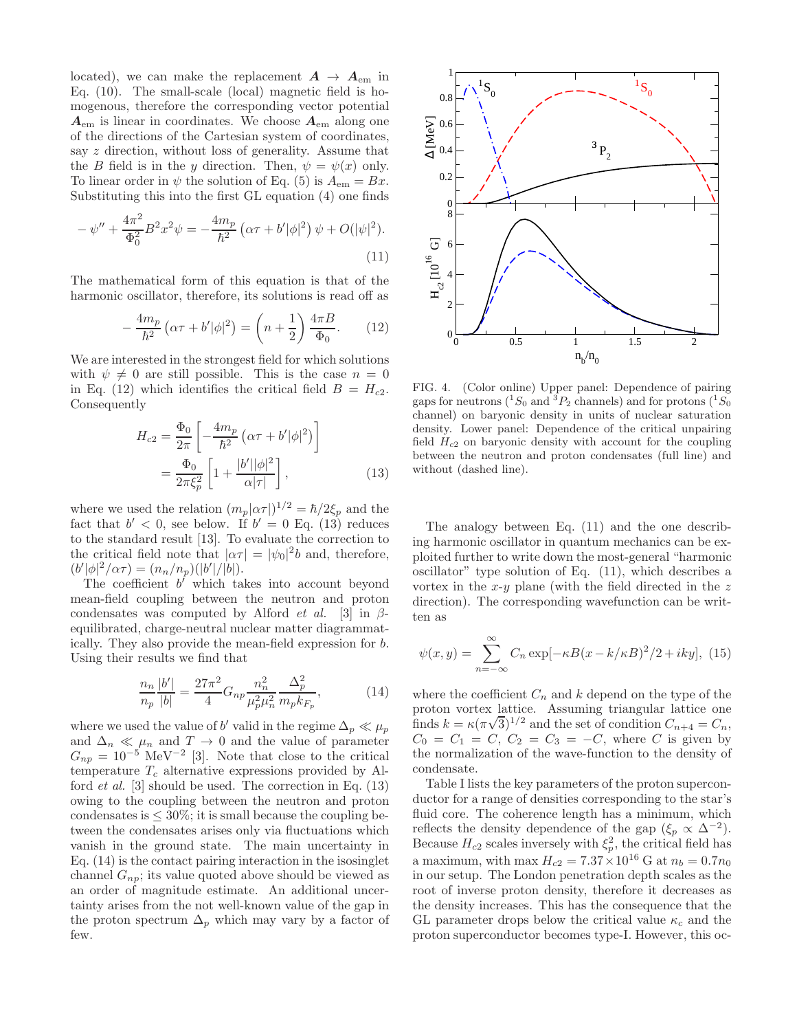located), we can make the replacement  $A \rightarrow A_{em}$  in Eq. (10). The small-scale (local) magnetic field is homogenous, therefore the corresponding vector potential  $A_{\rm em}$  is linear in coordinates. We choose  $A_{\rm em}$  along one of the directions of the Cartesian system of coordinates, say z direction, without loss of generality. Assume that the B field is in the y direction. Then,  $\psi = \psi(x)$  only. To linear order in  $\psi$  the solution of Eq. (5) is  $A_{em} = Bx$ . Substituting this into the first GL equation (4) one finds

$$
-\psi'' + \frac{4\pi^2}{\Phi_0^2} B^2 x^2 \psi = -\frac{4m_p}{\hbar^2} \left( \alpha \tau + b' |\phi|^2 \right) \psi + O(|\psi|^2). \tag{11}
$$

The mathematical form of this equation is that of the harmonic oscillator, therefore, its solutions is read off as

$$
-\frac{4m_p}{\hbar^2} \left(\alpha \tau + b' |\phi|^2\right) = \left(n + \frac{1}{2}\right) \frac{4\pi B}{\Phi_0}.\tag{12}
$$

We are interested in the strongest field for which solutions with  $\psi \neq 0$  are still possible. This is the case  $n = 0$ in Eq. (12) which identifies the critical field  $B = H_{c2}$ . Consequently

$$
H_{c2} = \frac{\Phi_0}{2\pi} \left[ -\frac{4m_p}{\hbar^2} \left( \alpha \tau + b' |\phi|^2 \right) \right]
$$

$$
= \frac{\Phi_0}{2\pi \xi_p^2} \left[ 1 + \frac{|b'||\phi|^2}{\alpha |\tau|} \right],
$$
(13)

where we used the relation  $(m_p|\alpha\tau|)^{1/2} = \hbar/2\xi_p$  and the fact that  $b' < 0$ , see below. If  $b' = 0$  Eq. (13) reduces to the standard result [13]. To evaluate the correction to the critical field note that  $|\alpha \tau| = |\psi_0|^2 b$  and, therefore,  $(b'|\phi|^2/\alpha\tau) = (n_n/n_p)(|b'|/|b|).$ 

The coefficient  $b'$  which takes into account beyond mean-field coupling between the neutron and proton condensates was computed by Alford *et al.* [3] in  $\beta$ equilibrated, charge-neutral nuclear matter diagrammatically. They also provide the mean-field expression for b. Using their results we find that

$$
\frac{n_n}{n_p} \frac{|b'|}{|b|} = \frac{27\pi^2}{4} G_{np} \frac{n_n^2}{\mu_p^2 \mu_n^2} \frac{\Delta_p^2}{m_p k_{F_p}},\tag{14}
$$

where we used the value of b' valid in the regime  $\Delta_p \ll \mu_p$ and  $\Delta_n \ll \mu_n$  and  $T \to 0$  and the value of parameter  $G_{np} = 10^{-5}$  MeV<sup>-2</sup> [3]. Note that close to the critical temperature  $T_c$  alternative expressions provided by Alford *et al.* [3] should be used. The correction in Eq.  $(13)$ owing to the coupling between the neutron and proton condensates is  $\leq 30\%$ ; it is small because the coupling between the condensates arises only via fluctuations which vanish in the ground state. The main uncertainty in Eq. (14) is the contact pairing interaction in the isosinglet channel  $G_{np}$ ; its value quoted above should be viewed as an order of magnitude estimate. An additional uncertainty arises from the not well-known value of the gap in the proton spectrum  $\Delta_p$  which may vary by a factor of few.



FIG. 4. (Color online) Upper panel: Dependence of pairing gaps for neutrons ( ${}^{1}S_{0}$  and  ${}^{3}P_{2}$  channels) and for protons ( ${}^{1}S_{0}$ channel) on baryonic density in units of nuclear saturation density. Lower panel: Dependence of the critical unpairing field  $H_{c2}$  on baryonic density with account for the coupling between the neutron and proton condensates (full line) and without (dashed line).

The analogy between Eq. (11) and the one describing harmonic oscillator in quantum mechanics can be exploited further to write down the most-general "harmonic oscillator" type solution of Eq. (11), which describes a vortex in the  $x-y$  plane (with the field directed in the z direction). The corresponding wavefunction can be written as

$$
\psi(x,y) = \sum_{n=-\infty}^{\infty} C_n \exp[-\kappa B(x - k/\kappa B)^2/2 + iky],
$$
 (15)

where the coefficient  $C_n$  and k depend on the type of the proton vortex lattice. Assuming triangular lattice one finds  $k = \kappa (\pi \sqrt{3})^{1/2}$  and the set of condition  $C_{n+4} = C_n$ ,  $C_0 = C_1 = C$ ,  $C_2 = C_3 = -C$ , where C is given by the normalization of the wave-function to the density of condensate.

Table I lists the key parameters of the proton superconductor for a range of densities corresponding to the star's fluid core. The coherence length has a minimum, which reflects the density dependence of the gap  $(\xi_p \propto \Delta^{-2})$ . Because  $H_{c2}$  scales inversely with  $\xi_p^2$ , the critical field has a maximum, with  $\max_{c} H_{c2} = 7.37 \times 10^{16}$  G at  $n_b = 0.7n_0$ in our setup. The London penetration depth scales as the root of inverse proton density, therefore it decreases as the density increases. This has the consequence that the GL parameter drops below the critical value  $\kappa_c$  and the proton superconductor becomes type-I. However, this oc-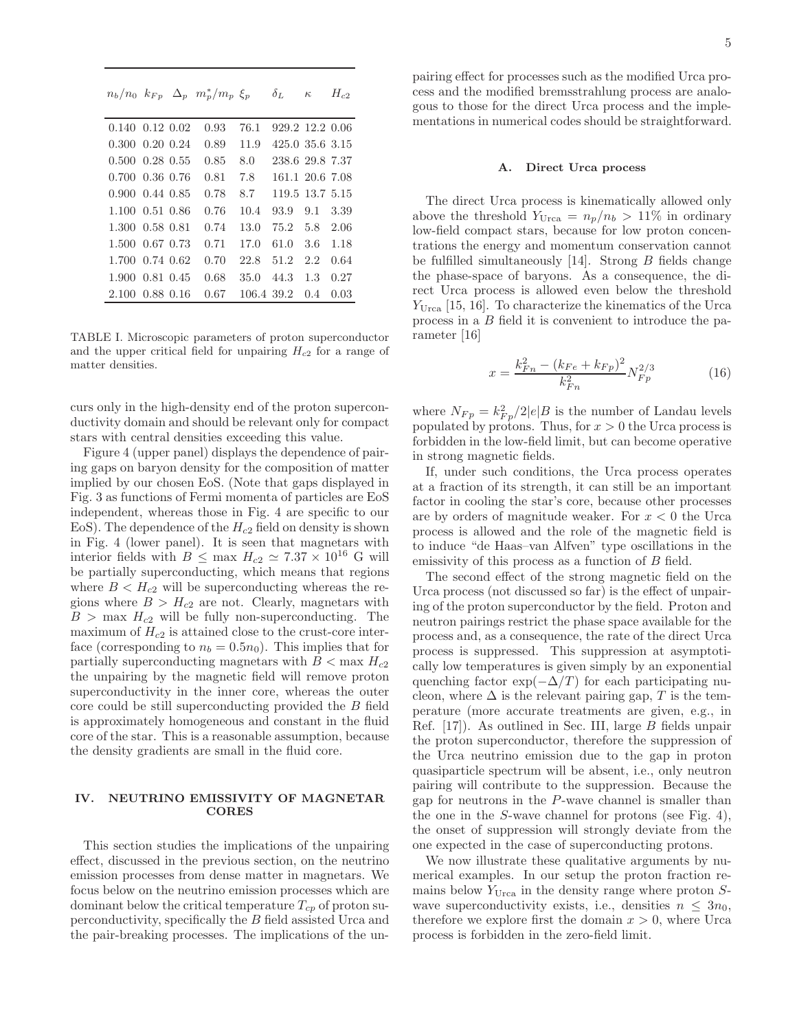$n_b/n_0$   $k_{Fp}$   $\Delta_p$   $m_p^*/m_p$   $\xi_p$   $\delta_L$   $\kappa$   $H_{c2}$ 

| $0.140 \quad 0.12 \quad 0.02$ |           | 0.93 | 76.1       | 929.2 12.2 0.06 |       |       |
|-------------------------------|-----------|------|------------|-----------------|-------|-------|
| $0.300 \quad 0.20 \quad 0.24$ |           | 0.89 | 11.9       | 425.0 35.6 3.15 |       |       |
| $0.500 \quad 0.28 \quad 0.55$ |           | 0.85 | 8.0        | 238.6 29.8 7.37 |       |       |
| $0.700$ $0.36$ $0.76$         |           | 0.81 | 7.8        | 161.1 20.6 7.08 |       |       |
| $0.900 \quad 0.44 \quad 0.85$ |           | 0.78 | 8.7        | 119.5 13.7 5.15 |       |       |
| 1.100 0.51 0.86               |           | 0.76 | 10.4       | 93.9            | 9.1   | 3.39  |
| 1.300 0.58 0.81               |           | 0.74 | 13.0       | 75.2            | 5.8   | -2.06 |
| 1.500 0.67 0.73               |           | 0.71 | 17.0       | 61.0            | 3.6   | 1.18  |
| 1.700 0.74 0.62               |           | 0.70 | 22.8       | 51.2            | 2.2   | 0.64  |
| 1.900 0.81 0.45               |           | 0.68 | 35.0       | 44.3            | 1.3   | 0.27  |
| 2.100                         | 0.88 0.16 | 0.67 | 106.4 39.2 |                 | (1.4) | 0.03  |

TABLE I. Microscopic parameters of proton superconductor and the upper critical field for unpairing  $H_{c2}$  for a range of matter densities.

curs only in the high-density end of the proton superconductivity domain and should be relevant only for compact stars with central densities exceeding this value.

Figure 4 (upper panel) displays the dependence of pairing gaps on baryon density for the composition of matter implied by our chosen EoS. (Note that gaps displayed in Fig. 3 as functions of Fermi momenta of particles are EoS independent, whereas those in Fig. 4 are specific to our EoS). The dependence of the  $H_{c2}$  field on density is shown in Fig. 4 (lower panel). It is seen that magnetars with interior fields with  $B \leq \max H_{c2} \simeq 7.37 \times 10^{16}$  G will be partially superconducting, which means that regions where  $B < H_{c2}$  will be superconducting whereas the regions where  $B > H_{c2}$  are not. Clearly, magnetars with  $B > \max H_{c2}$  will be fully non-superconducting. The maximum of  $H_{c2}$  is attained close to the crust-core interface (corresponding to  $n_b = 0.5n_0$ ). This implies that for partially superconducting magnetars with  $B < \max H_{c2}$ the unpairing by the magnetic field will remove proton superconductivity in the inner core, whereas the outer core could be still superconducting provided the B field is approximately homogeneous and constant in the fluid core of the star. This is a reasonable assumption, because the density gradients are small in the fluid core.

## IV. NEUTRINO EMISSIVITY OF MAGNETAR CORES

This section studies the implications of the unpairing effect, discussed in the previous section, on the neutrino emission processes from dense matter in magnetars. We focus below on the neutrino emission processes which are dominant below the critical temperature  $T_{cp}$  of proton superconductivity, specifically the B field assisted Urca and the pair-breaking processes. The implications of the un-

pairing effect for processes such as the modified Urca process and the modified bremsstrahlung process are analogous to those for the direct Urca process and the implementations in numerical codes should be straightforward.

#### A. Direct Urca process

The direct Urca process is kinematically allowed only above the threshold  $Y_{U_{\text{Tca}}}=n_p/n_b > 11\%$  in ordinary low-field compact stars, because for low proton concentrations the energy and momentum conservation cannot be fulfilled simultaneously [14]. Strong B fields change the phase-space of baryons. As a consequence, the direct Urca process is allowed even below the threshold  $Y_{U_{\text{Tca}}}$  [15, 16]. To characterize the kinematics of the Urca process in a B field it is convenient to introduce the parameter [16]

$$
x = \frac{k_{Fn}^2 - (k_{Fe} + k_{Fp})^2}{k_{Fn}^2} N_{Fp}^{2/3}
$$
 (16)

where  $N_{Fp} = k_{Fp}^2/2|e|B$  is the number of Landau levels populated by protons. Thus, for  $x > 0$  the Urca process is forbidden in the low-field limit, but can become operative in strong magnetic fields.

If, under such conditions, the Urca process operates at a fraction of its strength, it can still be an important factor in cooling the star's core, because other processes are by orders of magnitude weaker. For  $x < 0$  the Urca process is allowed and the role of the magnetic field is to induce "de Haas–van Alfven" type oscillations in the emissivity of this process as a function of B field.

The second effect of the strong magnetic field on the Urca process (not discussed so far) is the effect of unpairing of the proton superconductor by the field. Proton and neutron pairings restrict the phase space available for the process and, as a consequence, the rate of the direct Urca process is suppressed. This suppression at asymptotically low temperatures is given simply by an exponential quenching factor  $\exp(-\Delta/T)$  for each participating nucleon, where  $\Delta$  is the relevant pairing gap, T is the temperature (more accurate treatments are given, e.g., in Ref. [17]). As outlined in Sec. III, large B fields unpair the proton superconductor, therefore the suppression of the Urca neutrino emission due to the gap in proton quasiparticle spectrum will be absent, i.e., only neutron pairing will contribute to the suppression. Because the gap for neutrons in the P-wave channel is smaller than the one in the S-wave channel for protons (see Fig. 4), the onset of suppression will strongly deviate from the one expected in the case of superconducting protons.

We now illustrate these qualitative arguments by numerical examples. In our setup the proton fraction remains below  $Y_{U_{\text{rca}}}$  in the density range where proton  $S$ wave superconductivity exists, i.e., densities  $n \leq 3n_0$ , therefore we explore first the domain  $x > 0$ , where Urca process is forbidden in the zero-field limit.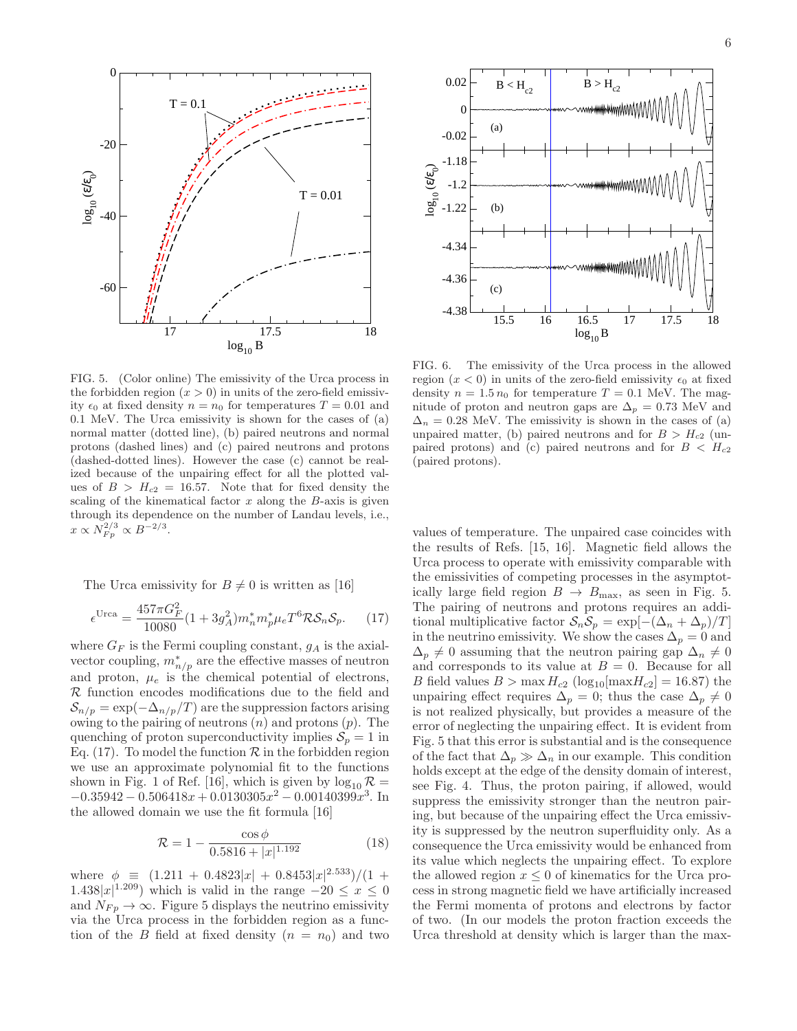

FIG. 5. (Color online) The emissivity of the Urca process in the forbidden region  $(x > 0)$  in units of the zero-field emissivity  $\epsilon_0$  at fixed density  $n = n_0$  for temperatures  $T = 0.01$  and 0.1 MeV. The Urca emissivity is shown for the cases of (a) normal matter (dotted line), (b) paired neutrons and normal protons (dashed lines) and (c) paired neutrons and protons (dashed-dotted lines). However the case (c) cannot be realized because of the unpairing effect for all the plotted values of  $B > H_{c2} = 16.57$ . Note that for fixed density the scaling of the kinematical factor  $x$  along the  $B$ -axis is given through its dependence on the number of Landau levels, i.e.,  $x \propto N_{Fp}^{2/3} \propto B^{-2/3}.$ 

The Urca emissivity for  $B \neq 0$  is written as [16]

$$
\epsilon^{\text{Urca}} = \frac{457\pi G_F^2}{10080} (1 + 3g_A^2) m_n^* m_p^* \mu_e T^6 \mathcal{R} \mathcal{S}_n \mathcal{S}_p. \tag{17}
$$

where  $G_F$  is the Fermi coupling constant,  $g_A$  is the axialvector coupling,  $m_{n/p}^*$  are the effective masses of neutron and proton,  $\mu_e$  is the chemical potential of electrons,  $R$  function encodes modifications due to the field and  $S_{n/p} = \exp(-\Delta_{n/p}/T)$  are the suppression factors arising owing to the pairing of neutrons  $(n)$  and protons  $(p)$ . The quenching of proton superconductivity implies  $S_p = 1$  in Eq. (17). To model the function  $\mathcal R$  in the forbidden region we use an approximate polynomial fit to the functions shown in Fig. 1 of Ref. [16], which is given by  $\log_{10} R =$  $-0.35942 - 0.506418x + 0.0130305x^2 - 0.00140399x^3$ . In the allowed domain we use the fit formula [16]

$$
\mathcal{R} = 1 - \frac{\cos \phi}{0.5816 + |x|^{1.192}}\tag{18}
$$

where  $\phi \equiv (1.211 + 0.4823|x| + 0.8453|x|^{2.533})/(1 +$  $1.438|x|^{1.209}$ ) which is valid in the range  $-20 \le x \le 0$ and  $N_{F_p} \to \infty$ . Figure 5 displays the neutrino emissivity via the Urca process in the forbidden region as a function of the B field at fixed density  $(n = n_0)$  and two



FIG. 6. The emissivity of the Urca process in the allowed region  $(x < 0)$  in units of the zero-field emissivity  $\epsilon_0$  at fixed density  $n = 1.5 n_0$  for temperature  $T = 0.1$  MeV. The magnitude of proton and neutron gaps are  $\Delta_p = 0.73$  MeV and  $\Delta_n = 0.28$  MeV. The emissivity is shown in the cases of (a) unpaired matter, (b) paired neutrons and for  $B > H_{c2}$  (unpaired protons) and (c) paired neutrons and for  $B < H_{c2}$ (paired protons).

values of temperature. The unpaired case coincides with the results of Refs. [15, 16]. Magnetic field allows the Urca process to operate with emissivity comparable with the emissivities of competing processes in the asymptotically large field region  $B \to B_{\text{max}}$ , as seen in Fig. 5. The pairing of neutrons and protons requires an additional multiplicative factor  $S_nS_p = \exp[-(\Delta_n + \Delta_p)/T]$ in the neutrino emissivity. We show the cases  $\Delta_p = 0$  and  $\Delta_p \neq 0$  assuming that the neutron pairing gap  $\Delta_n \neq 0$ and corresponds to its value at  $B = 0$ . Because for all B field values  $B > \max H_{c2}$  (log<sub>10</sub>[ $\max H_{c2}$ ] = 16.87) the unpairing effect requires  $\Delta_p = 0$ ; thus the case  $\Delta_p \neq 0$ is not realized physically, but provides a measure of the error of neglecting the unpairing effect. It is evident from Fig. 5 that this error is substantial and is the consequence of the fact that  $\Delta_p \gg \Delta_n$  in our example. This condition holds except at the edge of the density domain of interest, see Fig. 4. Thus, the proton pairing, if allowed, would suppress the emissivity stronger than the neutron pairing, but because of the unpairing effect the Urca emissivity is suppressed by the neutron superfluidity only. As a consequence the Urca emissivity would be enhanced from its value which neglects the unpairing effect. To explore the allowed region  $x \leq 0$  of kinematics for the Urca process in strong magnetic field we have artificially increased the Fermi momenta of protons and electrons by factor of two. (In our models the proton fraction exceeds the Urca threshold at density which is larger than the max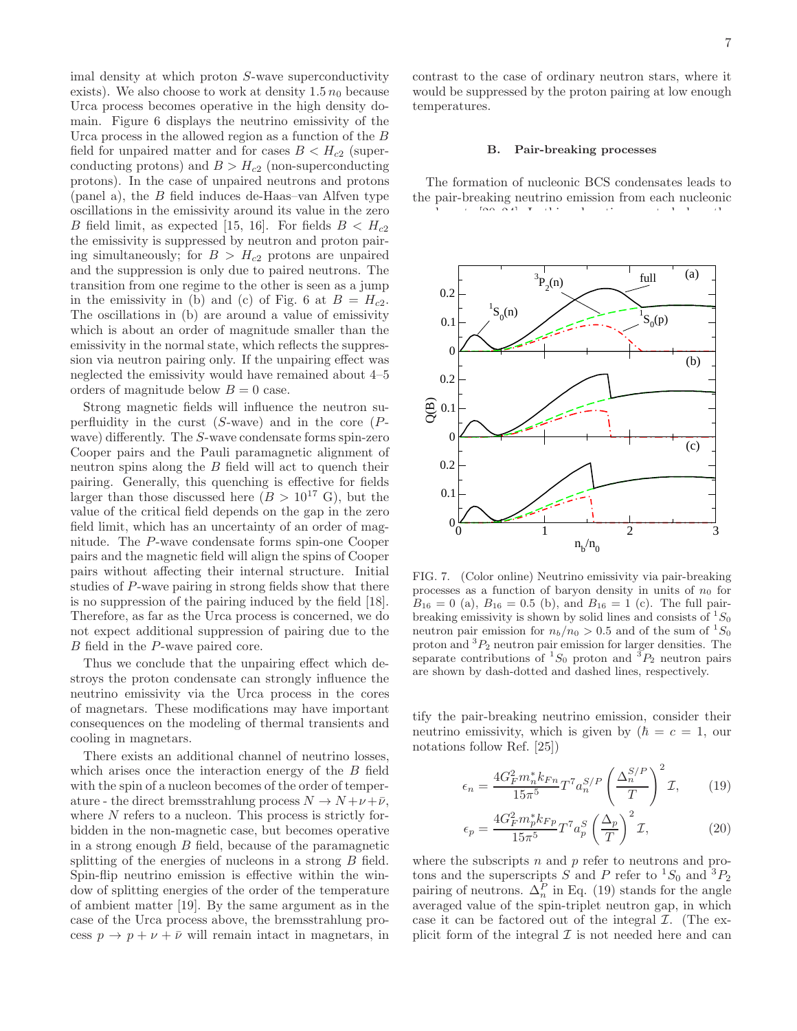imal density at which proton S-wave superconductivity exists). We also choose to work at density  $1.5 n_0$  because Urca process becomes operative in the high density domain. Figure 6 displays the neutrino emissivity of the Urca process in the allowed region as a function of the B field for unpaired matter and for cases  $B < H_{c2}$  (superconducting protons) and  $B > H_{c2}$  (non-superconducting protons). In the case of unpaired neutrons and protons (panel a), the  $B$  field induces de-Haas–van Alfven type oscillations in the emissivity around its value in the zero B field limit, as expected [15, 16]. For fields  $B < H_{c2}$ the emissivity is suppressed by neutron and proton pairing simultaneously; for  $B > H_{c2}$  protons are unpaired and the suppression is only due to paired neutrons. The transition from one regime to the other is seen as a jump in the emissivity in (b) and (c) of Fig. 6 at  $B = H_{c2}$ . The oscillations in (b) are around a value of emissivity which is about an order of magnitude smaller than the emissivity in the normal state, which reflects the suppression via neutron pairing only. If the unpairing effect was neglected the emissivity would have remained about 4–5 orders of magnitude below  $B = 0$  case.

Strong magnetic fields will influence the neutron superfluidity in the curst  $(S$ -wave) and in the core  $(P$ wave) differently. The S-wave condensate forms spin-zero Cooper pairs and the Pauli paramagnetic alignment of neutron spins along the B field will act to quench their pairing. Generally, this quenching is effective for fields larger than those discussed here  $(B > 10^{17} \text{ G})$ , but the value of the critical field depends on the gap in the zero field limit, which has an uncertainty of an order of magnitude. The P-wave condensate forms spin-one Cooper pairs and the magnetic field will align the spins of Cooper pairs without affecting their internal structure. Initial studies of P-wave pairing in strong fields show that there is no suppression of the pairing induced by the field [18]. Therefore, as far as the Urca process is concerned, we do not expect additional suppression of pairing due to the B field in the P-wave paired core.

Thus we conclude that the unpairing effect which destroys the proton condensate can strongly influence the neutrino emissivity via the Urca process in the cores of magnetars. These modifications may have important consequences on the modeling of thermal transients and cooling in magnetars.

There exists an additional channel of neutrino losses, which arises once the interaction energy of the  $B$  field with the spin of a nucleon becomes of the order of temperature - the direct bremsstrahlung process  $N \to N + \nu + \bar{\nu}$ , where N refers to a nucleon. This process is strictly forbidden in the non-magnetic case, but becomes operative in a strong enough  $B$  field, because of the paramagnetic splitting of the energies of nucleons in a strong B field. Spin-flip neutrino emission is effective within the window of splitting energies of the order of the temperature of ambient matter [19]. By the same argument as in the case of the Urca process above, the bremsstrahlung process  $p \to p + \nu + \bar{\nu}$  will remain intact in magnetars, in

contrast to the case of ordinary neutron stars, where it would be suppressed by the proton pairing at low enough temperatures.

#### B. Pair-breaking processes

The formation of nucleonic BCS condensates leads to the pair-breaking neutrino emission from each nucleonic condensate  $\frac{2}{3}$ . In this subsection we study how this subsection we study how the study how the study how the study how the study how the study how the study how the study how the study how the study how the study how



FIG. 7. (Color online) Neutrino emissivity via pair-breaking processes as a function of baryon density in units of  $n_0$  for  $B_{16} = 0$  (a),  $B_{16} = 0.5$  (b), and  $B_{16} = 1$  (c). The full pairbreaking emissivity is shown by solid lines and consists of  ${}^{1}S_{0}$ neutron pair emission for  $n_b/n_0 > 0.5$  and of the sum of  ${}^1S_0$ proton and  ${}^{3}P_{2}$  neutron pair emission for larger densities. The separate contributions of  ${}^{1}S_{0}$  proton and  ${}^{3}P_{2}$  neutron pairs are shown by dash-dotted and dashed lines, respectively.

tify the pair-breaking neutrino emission, consider their neutrino emissivity, which is given by  $(\hbar = c = 1, \text{ our})$ notations follow Ref. [25])

$$
\epsilon_n = \frac{4G_F^2 m_n^* k_{Fn}}{15\pi^5} T^7 a_n^{S/P} \left(\frac{\Delta_n^{S/P}}{T}\right)^2 \mathcal{I},\qquad(19)
$$

$$
\epsilon_p = \frac{4G_F^2 m_p^* k_{Fp}}{15\pi^5} T^7 a_p^S \left(\frac{\Delta_p}{T}\right)^2 \mathcal{I},\tag{20}
$$

where the subscripts  $n$  and  $p$  refer to neutrons and protons and the superscripts S and P refer to  ${}^{1}S_{0}$  and  ${}^{3}P_{2}$ pairing of neutrons.  $\Delta_n^P$  in Eq. (19) stands for the angle averaged value of the spin-triplet neutron gap, in which case it can be factored out of the integral  $\mathcal{I}$ . (The explicit form of the integral  $\mathcal I$  is not needed here and can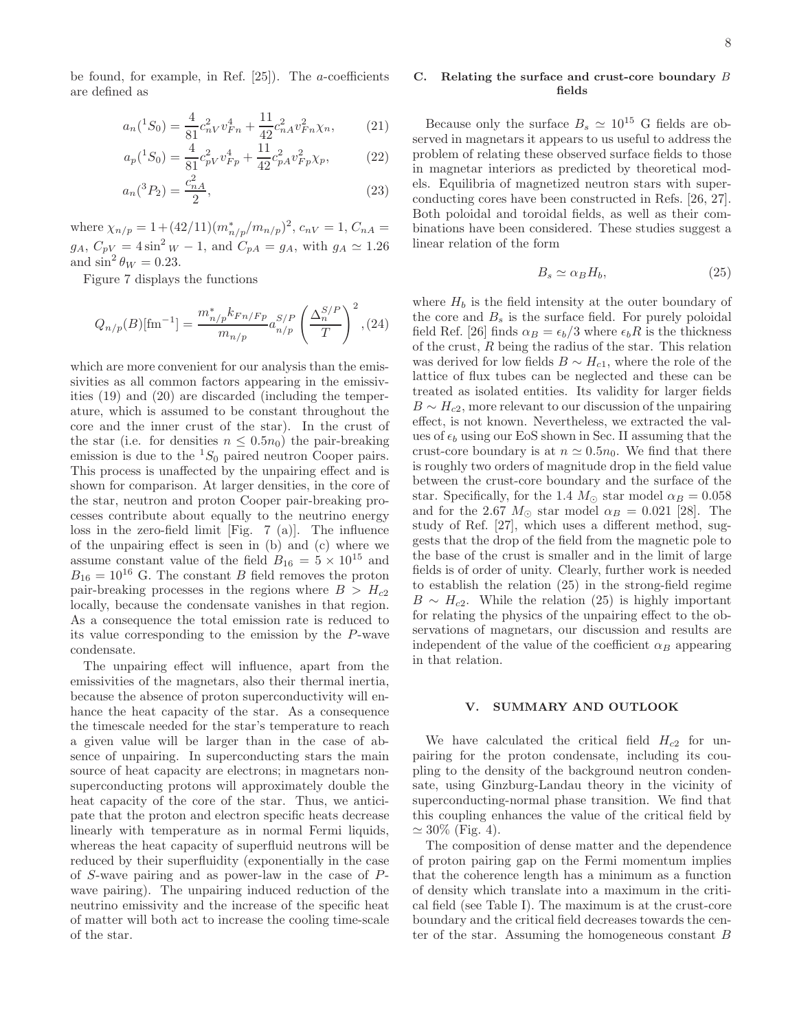be found, for example, in Ref.  $[25]$ . The *a*-coefficients are defined as

$$
a_n({}^1S_0) = \frac{4}{81}c_n^2{}_Vv_{Fn}^4 + \frac{11}{42}c_n^2{}_Av_{Fn}^2\chi_n,\tag{21}
$$

$$
a_p(^1S_0) = \frac{4}{81}c_{pV}^2 v_{Fp}^4 + \frac{11}{42}c_{pA}^2 v_{Fp}^2 \chi_p, \tag{22}
$$

$$
a_n(^3P_2) = \frac{c_{nA}^2}{2},\tag{23}
$$

where  $\chi_{n/p} = 1 + (42/11)(m_{n/p}^*/m_{n/p})^2$ ,  $c_{nV} = 1$ ,  $C_{nA} =$  $g_A, C_{pV} = 4 \sin^2 w - 1$ , and  $C_{pA} = g_A$ , with  $g_A \simeq 1.26$ and  $\sin^2 \theta_W = 0.23$ .

Figure 7 displays the functions

$$
Q_{n/p}(B)[\text{fm}^{-1}] = \frac{m_{n/p}^* k_{Fn/FP}}{m_{n/p}} a_{n/p}^{S/P} \left(\frac{\Delta_n^{S/P}}{T}\right)^2, (24)
$$

which are more convenient for our analysis than the emissivities as all common factors appearing in the emissivities (19) and (20) are discarded (including the temperature, which is assumed to be constant throughout the core and the inner crust of the star). In the crust of the star (i.e. for densities  $n \leq 0.5n_0$ ) the pair-breaking emission is due to the  ${}^{1}S_{0}$  paired neutron Cooper pairs. This process is unaffected by the unpairing effect and is shown for comparison. At larger densities, in the core of the star, neutron and proton Cooper pair-breaking processes contribute about equally to the neutrino energy loss in the zero-field limit [Fig. 7 (a)]. The influence of the unpairing effect is seen in (b) and (c) where we assume constant value of the field  $B_{16} = 5 \times 10^{15}$  and  $B_{16} = 10^{16}$  G. The constant B field removes the proton pair-breaking processes in the regions where  $B > H_{c2}$ locally, because the condensate vanishes in that region. As a consequence the total emission rate is reduced to its value corresponding to the emission by the P-wave condensate.

The unpairing effect will influence, apart from the emissivities of the magnetars, also their thermal inertia, because the absence of proton superconductivity will enhance the heat capacity of the star. As a consequence the timescale needed for the star's temperature to reach a given value will be larger than in the case of absence of unpairing. In superconducting stars the main source of heat capacity are electrons; in magnetars nonsuperconducting protons will approximately double the heat capacity of the core of the star. Thus, we anticipate that the proton and electron specific heats decrease linearly with temperature as in normal Fermi liquids, whereas the heat capacity of superfluid neutrons will be reduced by their superfluidity (exponentially in the case of S-wave pairing and as power-law in the case of Pwave pairing). The unpairing induced reduction of the neutrino emissivity and the increase of the specific heat of matter will both act to increase the cooling time-scale of the star.

## C. Relating the surface and crust-core boundary B fields

Because only the surface  $B_s \simeq 10^{15}$  G fields are observed in magnetars it appears to us useful to address the problem of relating these observed surface fields to those in magnetar interiors as predicted by theoretical models. Equilibria of magnetized neutron stars with superconducting cores have been constructed in Refs. [26, 27]. Both poloidal and toroidal fields, as well as their combinations have been considered. These studies suggest a linear relation of the form

$$
B_s \simeq \alpha_B H_b,\tag{25}
$$

where  $H_b$  is the field intensity at the outer boundary of the core and  $B_s$  is the surface field. For purely poloidal field Ref. [26] finds  $\alpha_B = \epsilon_b/3$  where  $\epsilon_b R$  is the thickness of the crust, R being the radius of the star. This relation was derived for low fields  $B \sim H_{c1}$ , where the role of the lattice of flux tubes can be neglected and these can be treated as isolated entities. Its validity for larger fields  $B \sim H_{c2}$ , more relevant to our discussion of the unpairing effect, is not known. Nevertheless, we extracted the values of  $\epsilon_b$  using our EoS shown in Sec. II assuming that the crust-core boundary is at  $n \approx 0.5n_0$ . We find that there is roughly two orders of magnitude drop in the field value between the crust-core boundary and the surface of the star. Specifically, for the 1.4  $M_{\odot}$  star model  $\alpha_B = 0.058$ and for the 2.67  $M_{\odot}$  star model  $\alpha_B = 0.021$  [28]. The study of Ref. [27], which uses a different method, suggests that the drop of the field from the magnetic pole to the base of the crust is smaller and in the limit of large fields is of order of unity. Clearly, further work is needed to establish the relation (25) in the strong-field regime  $B \sim H_{c2}$ . While the relation (25) is highly important for relating the physics of the unpairing effect to the observations of magnetars, our discussion and results are independent of the value of the coefficient  $\alpha_B$  appearing in that relation.

## V. SUMMARY AND OUTLOOK

We have calculated the critical field  $H_{c2}$  for unpairing for the proton condensate, including its coupling to the density of the background neutron condensate, using Ginzburg-Landau theory in the vicinity of superconducting-normal phase transition. We find that this coupling enhances the value of the critical field by  $\simeq 30\%$  (Fig. 4).

The composition of dense matter and the dependence of proton pairing gap on the Fermi momentum implies that the coherence length has a minimum as a function of density which translate into a maximum in the critical field (see Table I). The maximum is at the crust-core boundary and the critical field decreases towards the center of the star. Assuming the homogeneous constant B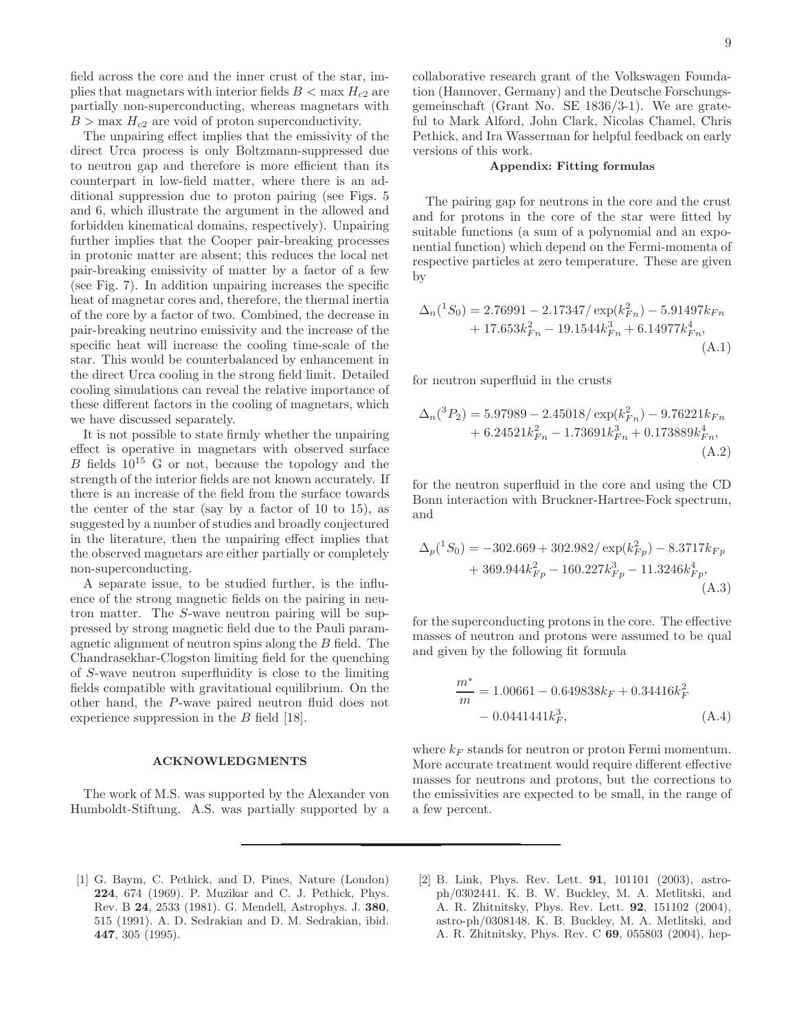field across the core and the inner crust of the star, implies that magnetars with interior fields  $B < \max H_{c2}$  are partially non-superconducting, whereas magnetars with  $B > \max H_{c2}$  are void of proton superconductivity.

The unpairing effect implies that the emissivity of the direct Urca process is only Boltzmann-suppressed due to neutron gap and therefore is more efficient than its counterpart in low-field matter, where there is an additional suppression due to proton pairing (see Figs. 5 and 6, which illustrate the argument in the allowed and forbidden kinematical domains, respectively). Unpairing further implies that the Cooper pair-breaking processes in protonic matter are absent; this reduces the local net pair-breaking emissivity of matter by a factor of a few (see Fig. 7). In addition unpairing increases the specific heat of magnetar cores and, therefore, the thermal inertia of the core by a factor of two. Combined, the decrease in pair-breaking neutrino emissivity and the increase of the specific heat will increase the cooling time-scale of the star. This would be counterbalanced by enhancement in the direct Urca cooling in the strong field limit. Detailed cooling simulations can reveal the relative importance of these different factors in the cooling of magnetars, which we have discussed separately.

It is not possible to state firmly whether the unpairing effect is operative in magnetars with observed surface B fields  $10^{15}$  G or not, because the topology and the strength of the interior fields are not known accurately. If there is an increase of the field from the surface towards the center of the star (say by a factor of 10 to 15), as suggested by a number of studies and broadly conjectured in the literature, then the unpairing effect implies that the observed magnetars are either partially or completely non-superconducting.

A separate issue, to be studied further, is the influence of the strong magnetic fields on the pairing in neutron matter. The S-wave neutron pairing will be suppressed by strong magnetic field due to the Pauli paramagnetic alignment of neutron spins along the B field. The Chandrasekhar-Clogston limiting field for the quenching of S-wave neutron superfluidity is close to the limiting fields compatible with gravitational equilibrium. On the other hand, the P-wave paired neutron fluid does not experience suppression in the B field [18].

#### ACKNOWLEDGMENTS

The work of M.S. was supported by the Alexander von Humboldt-Stiftung. A.S. was partially supported by a collaborative research grant of the Volkswagen Foundation (Hannover, Germany) and the Deutsche Forschungsgemeinschaft (Grant No. SE 1836/3-1). We are grateful to Mark Alford, John Clark, Nicolas Chamel, Chris Pethick, and Ira Wasserman for helpful feedback on early versions of this work.

#### Appendix: Fitting formulas

The pairing gap for neutrons in the core and the crust and for protons in the core of the star were fitted by suitable functions (a sum of a polynomial and an exponential function) which depend on the Fermi-momenta of respective particles at zero temperature. These are given by

$$
\Delta_n({}^1S_0) = 2.76991 - 2.17347 / \exp(k_{Fn}^2) - 5.91497 k_{Fn} + 17.653 k_{Fn}^2 - 19.1544 k_{Fn}^3 + 6.14977 k_{Fn}^4,
$$
\n(A.1)

for neutron superfluid in the crusts

$$
\Delta_n({}^3P_2) = 5.97989 - 2.45018 / \exp(k_{Fn}^2) - 9.76221k_{Fn} + 6.24521k_{Fn}^2 - 1.73691k_{Fn}^3 + 0.173889k_{Fn}^4,
$$
\n(A.2)

for the neutron superfluid in the core and using the CD Bonn interaction with Bruckner-Hartree-Fock spectrum, and

$$
\Delta_p(^1S_0) = -302.669 + 302.982 / \exp(k_{Fp}^2) - 8.3717 k_{Fp} + 369.944 k_{Fp}^2 - 160.227 k_{Fp}^3 - 11.3246 k_{Fp}^4,
$$
\n(A.3)

for the superconducting protons in the core. The effective masses of neutron and protons were assumed to be qual and given by the following fit formula

$$
\frac{m^*}{m} = 1.00661 - 0.649838k_F + 0.34416k_F^2 - 0.0441441k_F^3,
$$
\n(A.4)

where  $k_F$  stands for neutron or proton Fermi momentum. More accurate treatment would require different effective masses for neutrons and protons, but the corrections to the emissivities are expected to be small, in the range of a few percent.

- [1] G. Baym, C. Pethick, and D. Pines, Nature (London) 224, 674 (1969). P. Muzikar and C. J. Pethick, Phys. Rev. B 24, 2533 (1981). G. Mendell, Astrophys. J. 380, 515 (1991). A. D. Sedrakian and D. M. Sedrakian, ibid. 447, 305 (1995).
- [2] B. Link, Phys. Rev. Lett. **91**, 101101 (2003), astroph/0302441. K. B. W. Buckley, M. A. Metlitski, and A. R. Zhitnitsky, Phys. Rev. Lett. 92, 151102 (2004), astro-ph/0308148. K. B. Buckley, M. A. Metlitski, and A. R. Zhitnitsky, Phys. Rev. C 69, 055803 (2004), hep-